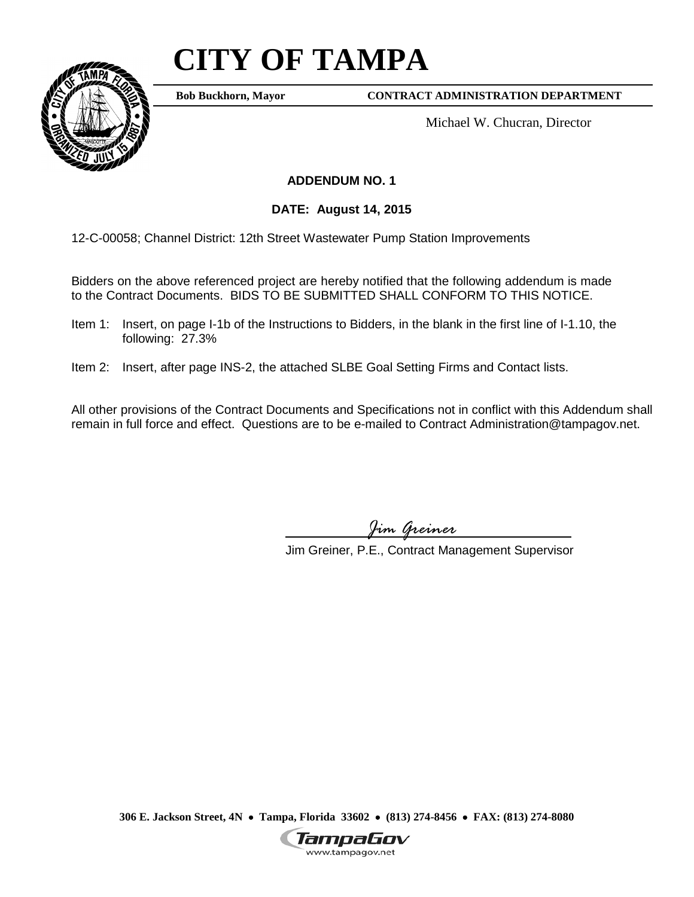# **CITY OF TAMPA**



**Bob Buckhorn, Mayor**

**CONTRACT ADMINISTRATION DEPARTMENT**

Michael W. Chucran, Director

### **ADDENDUM NO. 1**

**DATE: August 14, 2015**

12-C-00058; Channel District: 12th Street Wastewater Pump Station Improvements

Bidders on the above referenced project are hereby notified that the following addendum is made to the Contract Documents. BIDS TO BE SUBMITTED SHALL CONFORM TO THIS NOTICE.

- Item 1: Insert, on page I-1b of the Instructions to Bidders, in the blank in the first line of I-1.10, the following: 27.3%
- Item 2: Insert, after page INS-2, the attached SLBE Goal Setting Firms and Contact lists.

All other provisions of the Contract Documents and Specifications not in conflict with this Addendum shall remain in full force and effect. Questions are to be e-mailed to Contract Administration@tampagov.net.

*Jim Greiner*

Jim Greiner, P.E., Contract Management Supervisor

**306 E. Jackson Street, 4N** • **Tampa, Florida 33602** • **(813) 274-8456** • **FAX: (813) 274-8080**

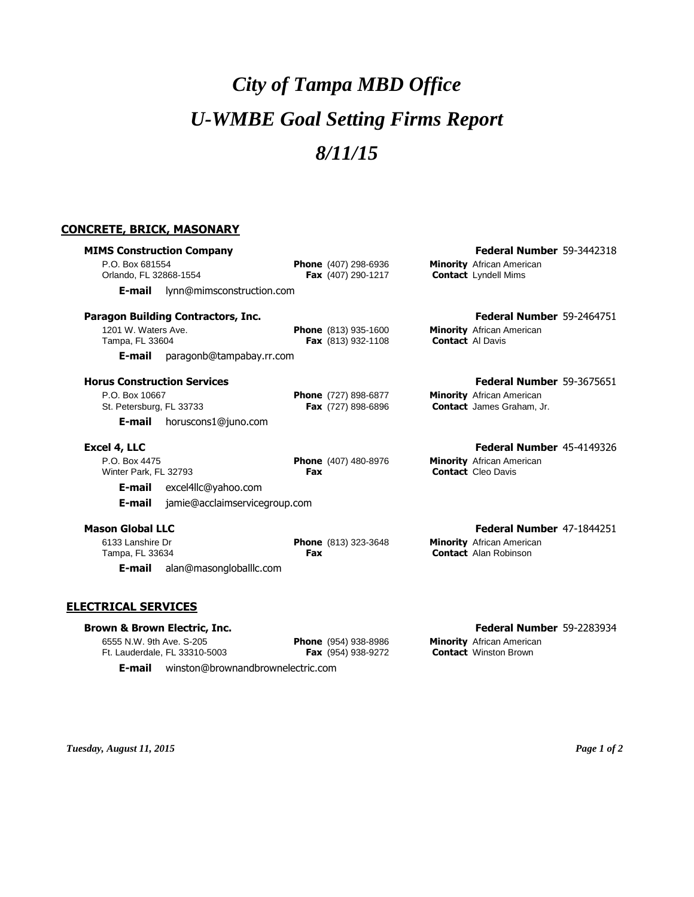## *City of Tampa MBD Office U-WMBE Goal Setting Firms Report 8/11/15*

### **CONCRETE, BRICK, MASONARY**

| <b>MIMS Construction Company</b>   |                        |                                                                                        |                                                                                                                                                                                                                                  | <b>Federal Number 59-3442318</b> |                                                                                                                                                                                                                                                                                                                                      |
|------------------------------------|------------------------|----------------------------------------------------------------------------------------|----------------------------------------------------------------------------------------------------------------------------------------------------------------------------------------------------------------------------------|----------------------------------|--------------------------------------------------------------------------------------------------------------------------------------------------------------------------------------------------------------------------------------------------------------------------------------------------------------------------------------|
| P.O. Box 681554                    |                        |                                                                                        |                                                                                                                                                                                                                                  |                                  |                                                                                                                                                                                                                                                                                                                                      |
|                                    |                        |                                                                                        |                                                                                                                                                                                                                                  |                                  |                                                                                                                                                                                                                                                                                                                                      |
|                                    |                        |                                                                                        |                                                                                                                                                                                                                                  |                                  |                                                                                                                                                                                                                                                                                                                                      |
| Paragon Building Contractors, Inc. |                        |                                                                                        |                                                                                                                                                                                                                                  | Federal Number 59-2464751        |                                                                                                                                                                                                                                                                                                                                      |
| 1201 W. Waters Ave.                |                        |                                                                                        |                                                                                                                                                                                                                                  |                                  |                                                                                                                                                                                                                                                                                                                                      |
| Tampa, FL 33604                    |                        |                                                                                        |                                                                                                                                                                                                                                  |                                  |                                                                                                                                                                                                                                                                                                                                      |
|                                    |                        |                                                                                        |                                                                                                                                                                                                                                  |                                  |                                                                                                                                                                                                                                                                                                                                      |
| <b>Horus Construction Services</b> |                        |                                                                                        |                                                                                                                                                                                                                                  | Federal Number 59-3675651        |                                                                                                                                                                                                                                                                                                                                      |
| P.O. Box 10667                     |                        |                                                                                        |                                                                                                                                                                                                                                  |                                  |                                                                                                                                                                                                                                                                                                                                      |
| St. Petersburg, FL 33733           |                        |                                                                                        |                                                                                                                                                                                                                                  |                                  |                                                                                                                                                                                                                                                                                                                                      |
| horuscons1@juno.com                |                        |                                                                                        |                                                                                                                                                                                                                                  |                                  |                                                                                                                                                                                                                                                                                                                                      |
|                                    |                        |                                                                                        |                                                                                                                                                                                                                                  | Federal Number 45-4149326        |                                                                                                                                                                                                                                                                                                                                      |
| P.O. Box 4475                      |                        |                                                                                        |                                                                                                                                                                                                                                  |                                  |                                                                                                                                                                                                                                                                                                                                      |
| Winter Park, FL 32793              |                        |                                                                                        |                                                                                                                                                                                                                                  |                                  |                                                                                                                                                                                                                                                                                                                                      |
| excel4llc@yahoo.com                |                        |                                                                                        |                                                                                                                                                                                                                                  |                                  |                                                                                                                                                                                                                                                                                                                                      |
|                                    |                        |                                                                                        |                                                                                                                                                                                                                                  |                                  |                                                                                                                                                                                                                                                                                                                                      |
| <b>Mason Global LLC</b>            |                        |                                                                                        |                                                                                                                                                                                                                                  | Federal Number 47-1844251        |                                                                                                                                                                                                                                                                                                                                      |
| 6133 Lanshire Dr                   |                        |                                                                                        |                                                                                                                                                                                                                                  |                                  |                                                                                                                                                                                                                                                                                                                                      |
| Tampa, FL 33634                    |                        |                                                                                        |                                                                                                                                                                                                                                  |                                  |                                                                                                                                                                                                                                                                                                                                      |
| alan@masongloballlc.com            |                        |                                                                                        |                                                                                                                                                                                                                                  |                                  |                                                                                                                                                                                                                                                                                                                                      |
|                                    | Orlando, FL 32868-1554 | lynn@mimsconstruction.com<br>paragonb@tampabay.rr.com<br>jamie@acclaimservicegroup.com | <b>Phone</b> (407) 298-6936<br>Fax (407) 290-1217<br><b>Phone</b> (813) 935-1600<br>Fax (813) 932-1108<br><b>Phone</b> (727) 898-6877<br>Fax (727) 898-6896<br><b>Phone</b> (407) 480-8976<br>Fax<br>Phone (813) 323-3648<br>Fax |                                  | <b>Minority</b> African American<br><b>Contact</b> Lyndell Mims<br><b>Minority</b> African American<br><b>Contact Al Davis</b><br><b>Minority</b> African American<br>Contact James Graham, Jr.<br><b>Minority</b> African American<br><b>Contact</b> Cleo Davis<br><b>Minority</b> African American<br><b>Contact</b> Alan Robinson |

Ft. Lauderdale, FL 33310-5003 **Fax** (954) 938-9272 **Contact** Winston Brown

**E-mail** winston@brownandbrownelectric.com

**Brown & Brown Electric, Inc. Federal Number** 59-2283934 6555 N.W. 9th Ave. S-205 **Phone** (954) 938-8986 **Minority** African American

*Tuesday, August 11, 2015 Page 1 of 2*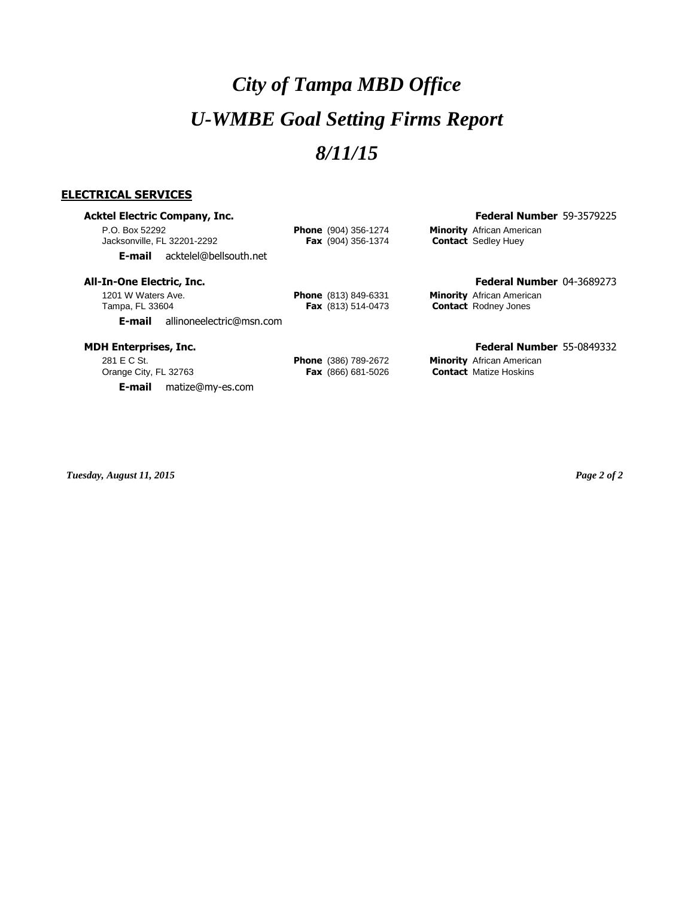## *City of Tampa MBD Office U-WMBE Goal Setting Firms Report 8/11/15*

### **ELECTRICAL SERVICES**

P.O. Box 52292 **Phone** (904) 356-1274 **Minority** African American Jacksonville, FL 32201-2292 **Fax** (904) 356-1374 **Contact** Sedley Huey **E-mail** acktelel@bellsouth.net

**Acktel Electric Company, Inc. Federal Number** 59-3579225

### **All-In-One Electric, Inc. Federal Number** 04-3689273

1201 W Waters Ave. **Phone** (813) 849-6331 **Minority** African American Tampa, FL 33604 **Fax** (813) 514-0473 **Contact** Rodney Jones **E-mail** allinoneelectric@msn.com

281 E C St. **Phone** (386) 789-2672 **Minority** African American **E-mail** matize@my-es.com

### **MDH Enterprises, Inc. Federal Number** 55-0849332

**Fax** (866) 681-5026 **Contact** Matize Hoskins

*Tuesday, August 11, 2015 Page 2 of 2*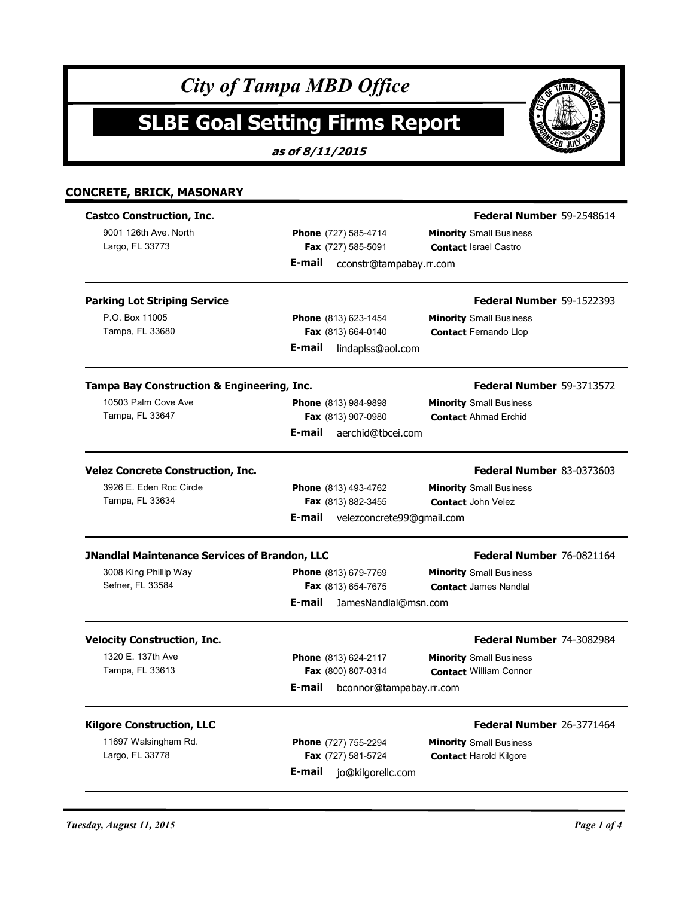|                                                      | as of 8/11/2015                     |                                |
|------------------------------------------------------|-------------------------------------|--------------------------------|
| <b>CONCRETE, BRICK, MASONARY</b>                     |                                     |                                |
| <b>Castco Construction, Inc.</b>                     |                                     | Federal Number 59-2548614      |
| 9001 126th Ave. North                                | <b>Phone</b> (727) 585-4714         | <b>Minority Small Business</b> |
| Largo, FL 33773                                      | Fax (727) 585-5091                  | <b>Contact Israel Castro</b>   |
|                                                      | E-mail<br>cconstr@tampabay.rr.com   |                                |
| <b>Parking Lot Striping Service</b>                  |                                     | Federal Number 59-1522393      |
| P.O. Box 11005                                       | Phone (813) 623-1454                | <b>Minority</b> Small Business |
| Tampa, FL 33680                                      | Fax (813) 664-0140                  | <b>Contact Fernando Llop</b>   |
|                                                      | E-mail<br>lindaplss@aol.com         |                                |
| Tampa Bay Construction & Engineering, Inc.           |                                     | Federal Number 59-3713572      |
| 10503 Palm Cove Ave                                  | Phone (813) 984-9898                | <b>Minority Small Business</b> |
| Tampa, FL 33647                                      | Fax (813) 907-0980                  | <b>Contact Ahmad Erchid</b>    |
|                                                      | E-mail<br>aerchid@tbcei.com         |                                |
| <b>Velez Concrete Construction, Inc.</b>             |                                     | Federal Number 83-0373603      |
| 3926 E. Eden Roc Circle                              | <b>Phone</b> (813) 493-4762         | <b>Minority</b> Small Business |
| Tampa, FL 33634                                      | Fax (813) 882-3455                  | <b>Contact John Velez</b>      |
|                                                      | E-mail<br>velezconcrete99@gmail.com |                                |
| <b>JNandlal Maintenance Services of Brandon, LLC</b> |                                     | Federal Number 76-0821164      |
| 3008 King Phillip Way                                | Phone (813) 679-7769                | <b>Minority Small Business</b> |
| Sefner, FL 33584                                     | Fax (813) 654-7675                  | <b>Contact James Nandlal</b>   |
|                                                      | E-mail<br>JamesNandlal@msn.com      |                                |
| <b>Velocity Construction, Inc.</b>                   |                                     | Federal Number 74-3082984      |
| 1320 E. 137th Ave                                    | Phone (813) 624-2117                | <b>Minority</b> Small Business |
| Tampa, FL 33613                                      | Fax (800) 807-0314                  | <b>Contact William Connor</b>  |
|                                                      | E-mail<br>bconnor@tampabay.rr.com   |                                |
| <b>Kilgore Construction, LLC</b>                     |                                     | Federal Number 26-3771464      |
| 11697 Walsingham Rd.                                 | Phone (727) 755-2294                | <b>Minority</b> Small Business |
|                                                      | Fax (727) 581-5724                  | <b>Contact Harold Kilgore</b>  |
| Largo, FL 33778                                      |                                     |                                |

*City of Tampa MBD Office*

TAMPA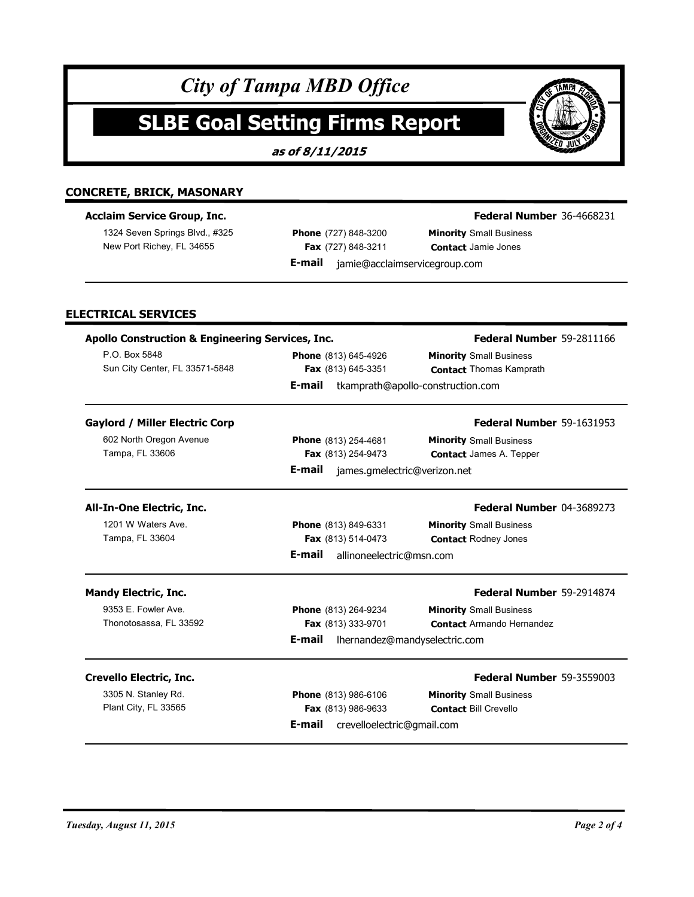| <b>ECTRICAL SERVICES</b>                         |                                        |                                                                     |  |  |  |  |  |  |
|--------------------------------------------------|----------------------------------------|---------------------------------------------------------------------|--|--|--|--|--|--|
| Apollo Construction & Engineering Services, Inc. |                                        | Federal Number 59-2811166                                           |  |  |  |  |  |  |
| P.O. Box 5848                                    | Phone (813) 645-4926                   | <b>Minority Small Business</b>                                      |  |  |  |  |  |  |
| Sun City Center, FL 33571-5848                   | Fax (813) 645-3351<br>E-mail           | <b>Contact Thomas Kamprath</b><br>tkamprath@apollo-construction.com |  |  |  |  |  |  |
| <b>Gaylord / Miller Electric Corp</b>            |                                        | Federal Number 59-1631953                                           |  |  |  |  |  |  |
| 602 North Oregon Avenue                          | Phone (813) 254-4681                   | <b>Minority</b> Small Business                                      |  |  |  |  |  |  |
| Tampa, FL 33606                                  | Fax (813) 254-9473                     | <b>Contact</b> James A. Tepper                                      |  |  |  |  |  |  |
|                                                  | E-mail<br>james.gmelectric@verizon.net |                                                                     |  |  |  |  |  |  |
| All-In-One Electric, Inc.                        |                                        | Federal Number 04-3689273                                           |  |  |  |  |  |  |
| 1201 W Waters Ave.                               | Phone (813) 849-6331                   | <b>Minority</b> Small Business                                      |  |  |  |  |  |  |
| Tampa, FL 33604                                  | Fax (813) 514-0473                     | <b>Contact Rodney Jones</b>                                         |  |  |  |  |  |  |
|                                                  | E-mail<br>allinoneelectric@msn.com     |                                                                     |  |  |  |  |  |  |
| <b>Mandy Electric, Inc.</b>                      |                                        | Federal Number 59-2914874                                           |  |  |  |  |  |  |
| 9353 E. Fowler Ave.                              | Phone (813) 264-9234                   | <b>Minority</b> Small Business                                      |  |  |  |  |  |  |
| Thonotosassa, FL 33592                           | Fax (813) 333-9701                     | <b>Contact</b> Armando Hernandez                                    |  |  |  |  |  |  |
|                                                  | E-mail                                 | Ihernandez@mandyselectric.com                                       |  |  |  |  |  |  |
| <b>Crevello Electric, Inc.</b>                   |                                        | Federal Number 59-3559003                                           |  |  |  |  |  |  |
| 3305 N. Stanley Rd.                              | Phone (813) 986-6106                   | <b>Minority Small Business</b>                                      |  |  |  |  |  |  |
| Plant City, FL 33565                             | Fax (813) 986-9633                     | <b>Contact Bill Crevello</b>                                        |  |  |  |  |  |  |
|                                                  | E-mail<br>crevelloelectric@gmail.com   |                                                                     |  |  |  |  |  |  |

### **Acclaim Service Group, Inc.**

New Port Richey, FL 34655

**Phone** (727) 848-3200 **Fax** (727) 848-3211

*City of Tampa MBD Office*

**SLBE Goal Setting Firms Report**

**as of 8/11/2015**

**Federal Number** 36-4668231

**AMPA** 

**Contact** Jamie Jones

**E-mail** jamie@acclaimservicegroup.com

## **CONCRETE, BRICK, MASONARY**

1324 Seven Springs Blvd., #325

**Minority** Small Business

### ELECT

### *Tuesday, August 11, 2015 Page 2 of 4*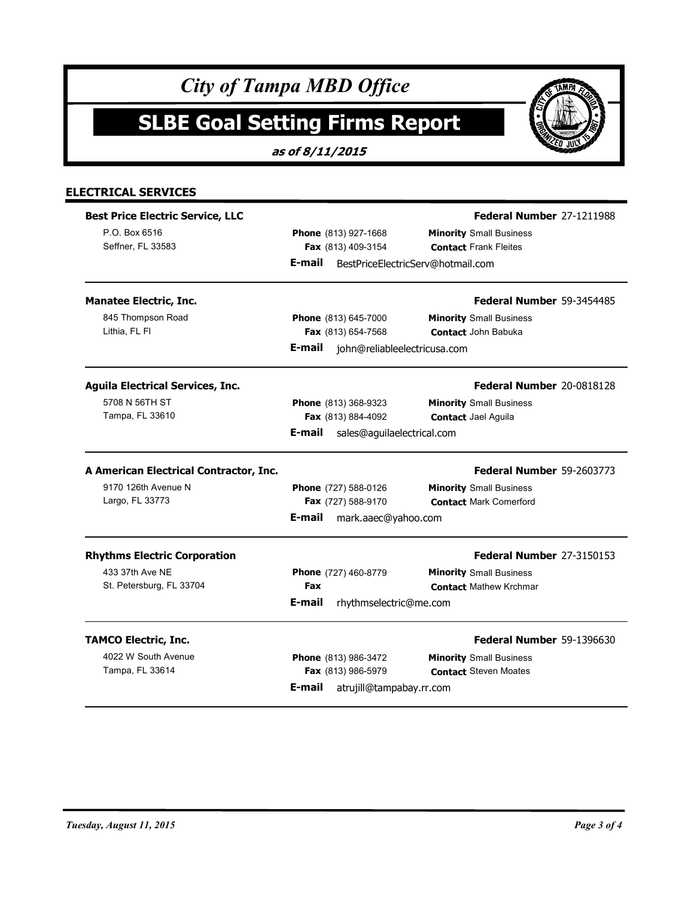| <b>SLBE Goal Setting Firms Report</b><br>as of 8/11/2015                               |                                                                                    |                                                                   |  |  |  |  |  |  |
|----------------------------------------------------------------------------------------|------------------------------------------------------------------------------------|-------------------------------------------------------------------|--|--|--|--|--|--|
|                                                                                        |                                                                                    |                                                                   |  |  |  |  |  |  |
| <b>ELECTRICAL SERVICES</b><br><b>Best Price Electric Service, LLC</b><br>P.O. Box 6516 | Phone (813) 927-1668                                                               | Federal Number 27-1211988<br><b>Minority</b> Small Business       |  |  |  |  |  |  |
| Seffner, FL 33583                                                                      | Fax (813) 409-3154<br>E-mail                                                       | <b>Contact Frank Fleites</b><br>BestPriceElectricServ@hotmail.com |  |  |  |  |  |  |
| <b>Manatee Electric, Inc.</b>                                                          |                                                                                    | Federal Number 59-3454485                                         |  |  |  |  |  |  |
| 845 Thompson Road<br>Lithia, FL FI                                                     | Phone (813) 645-7000<br>Fax (813) 654-7568                                         | <b>Minority</b> Small Business<br><b>Contact John Babuka</b>      |  |  |  |  |  |  |
|                                                                                        | E-mail<br>john@reliableelectricusa.com                                             |                                                                   |  |  |  |  |  |  |
| <b>Aguila Electrical Services, Inc.</b>                                                |                                                                                    | Federal Number 20-0818128                                         |  |  |  |  |  |  |
| 5708 N 56TH ST<br>Tampa, FL 33610                                                      | Phone (813) 368-9323<br>Fax (813) 884-4092<br>E-mail<br>sales@aguilaelectrical.com | <b>Minority</b> Small Business<br><b>Contact Jael Aguila</b>      |  |  |  |  |  |  |
| A American Electrical Contractor, Inc.                                                 |                                                                                    | <b>Federal Number 59-2603773</b>                                  |  |  |  |  |  |  |
| 9170 126th Avenue N<br>Largo, FL 33773                                                 | Phone (727) 588-0126<br>Fax (727) 588-9170<br>E-mail<br>mark.aaec@yahoo.com        | <b>Minority Small Business</b><br><b>Contact Mark Comerford</b>   |  |  |  |  |  |  |
| <b>Rhythms Electric Corporation</b>                                                    |                                                                                    | Federal Number 27-3150153                                         |  |  |  |  |  |  |
| 433 37th Ave NE<br>St. Petersburg, FL 33704                                            | Phone (727) 460-8779<br><b>Fax</b><br>E-mail<br>rhythmselectric@me.com             | <b>Minority</b> Small Business<br><b>Contact Mathew Krchmar</b>   |  |  |  |  |  |  |
| <b>TAMCO Electric, Inc.</b>                                                            |                                                                                    | Federal Number 59-1396630                                         |  |  |  |  |  |  |
| 4022 W South Avenue<br>Tampa, FL 33614                                                 | Phone (813) 986-3472<br>Fax (813) 986-5979<br>E-mail<br>atrujill@tampabay.rr.com   | <b>Minority</b> Small Business<br><b>Contact Steven Moates</b>    |  |  |  |  |  |  |

*City of Tampa MBD Office*

NE TAMPA RE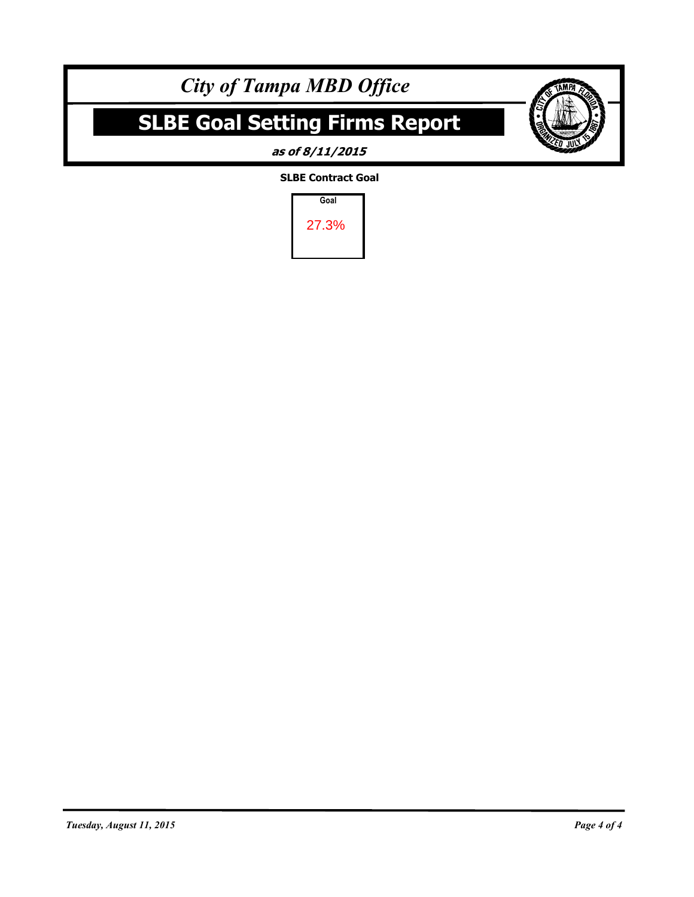

**SLBE Contract Goal** 

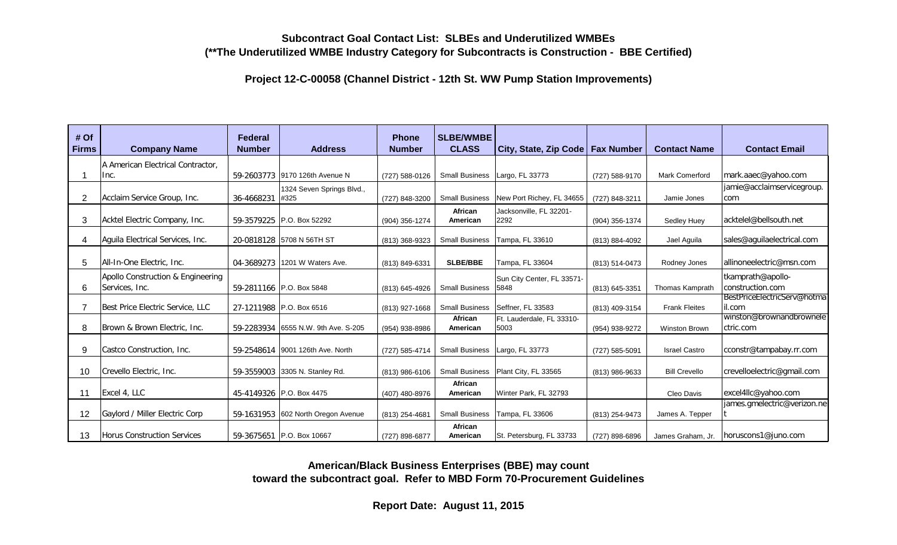### **Subcontract Goal Contact List: SLBEs and Underutilized WMBEs (\*\*The Underutilized WMBE Industry Category for Subcontracts is Construction - BBE Certified)**

**Project 12-C-00058 (Channel District - 12th St. WW Pump Station Improvements)**

| # Of         |                                   | <b>Federal</b>  |                                     | <b>Phone</b>   | <b>SLBE/WMBE</b>                 |                                                |                |                       |                                         |
|--------------|-----------------------------------|-----------------|-------------------------------------|----------------|----------------------------------|------------------------------------------------|----------------|-----------------------|-----------------------------------------|
| <b>Firms</b> | <b>Company Name</b>               | <b>Number</b>   | <b>Address</b>                      | <b>Number</b>  | <b>CLASS</b>                     | City, State, Zip Code   Fax Number             |                | <b>Contact Name</b>   | <b>Contact Email</b>                    |
|              | A American Electrical Contractor, |                 |                                     |                |                                  |                                                |                |                       |                                         |
|              | Inc.                              |                 | 59-2603773 9170 126th Avenue N      | (727) 588-0126 |                                  | Small Business   Largo, FL 33773               | (727) 588-9170 | <b>Mark Comerford</b> | mark.aaec@yahoo.com                     |
|              |                                   |                 | 1324 Seven Springs Blvd.,           |                |                                  |                                                |                |                       | jamie@acclaimservicegroup.              |
|              | Acclaim Service Group, Inc.       | 36-4668231 #325 |                                     | (727) 848-3200 |                                  | Small Business New Port Richey, FL 34655       | (727) 848-3211 | Jamie Jones           | com                                     |
| 3            | Acktel Electric Company, Inc.     |                 | 59-3579225 P.O. Box 52292           | (904) 356-1274 | African<br>American              | Jacksonville, FL 32201-<br>2292                | (904) 356-1374 | Sedley Huey           | acktelel@bellsouth.net                  |
| 4            | Aquila Electrical Services, Inc.  |                 | 20-0818128 5708 N 56TH ST           | (813) 368-9323 | <b>Small Business</b>            | Tampa, FL 33610                                | (813) 884-4092 | Jael Aguila           | sales@aguilaelectrical.com              |
| 5            | All-In-One Electric, Inc.         |                 | 04-3689273  1201 W Waters Ave.      | (813) 849-6331 | <b>SLBE/BBE</b>                  | Tampa, FL 33604                                | (813) 514-0473 | Rodney Jones          | allinoneelectric@msn.com                |
|              | Apollo Construction & Engineering |                 |                                     |                |                                  | Sun City Center, FL 33571-                     |                |                       | tkamprath@apollo-                       |
| 6            | Services, Inc.                    |                 | 59-2811166 P.O. Box 5848            | (813) 645-4926 | <b>Small Business</b>            | 5848                                           | (813) 645-3351 | Thomas Kamprath       | construction.com                        |
|              |                                   |                 |                                     |                |                                  |                                                |                |                       | BestPriceElectricServ@hotma             |
|              | Best Price Electric Service, LLC  |                 | 27-1211988 P.O. Box 6516            | (813) 927-1668 | <b>Small Business</b><br>African | Seffner, FL 33583<br>Ft. Lauderdale, FL 33310- | (813) 409-3154 | <b>Frank Fleites</b>  | il.com<br>winston@brownandbrownele      |
| 8            | Brown & Brown Electric, Inc.      |                 | 59-2283934 6555 N.W. 9th Ave. S-205 | (954) 938-8986 | American                         | 5003                                           | (954) 938-9272 | <b>Winston Brown</b>  | ctric.com                               |
| 9            | Castco Construction, Inc.         |                 | 59-2548614 9001 126th Ave. North    | (727) 585-4714 |                                  | Small Business   Largo, FL 33773               | (727) 585-5091 | <b>Israel Castro</b>  | cconstr@tampabay.rr.com                 |
|              |                                   |                 |                                     |                |                                  |                                                |                |                       |                                         |
| 10           | Crevello Electric, Inc.           |                 | 59-3559003 3305 N. Stanley Rd.      | (813) 986-6106 |                                  | Small Business   Plant City, FL 33565          | (813) 986-9633 | <b>Bill Crevello</b>  | crevelloelectric@gmail.com              |
|              |                                   |                 |                                     |                | African                          |                                                |                |                       |                                         |
| 11           | Excel 4, LLC                      |                 | 45-4149326 P.O. Box 4475            | (407) 480-8976 | American                         | Winter Park, FL 32793                          |                | Cleo Davis            | excel4llc@yahoo.com                     |
| 12           | Gaylord / Miller Electric Corp    |                 | 59-1631953 602 North Oregon Avenue  |                | <b>Small Business</b>            | Tampa, FL 33606                                |                | James A. Tepper       | james.gmelectric@verizon.ne             |
|              |                                   |                 |                                     | (813) 254-4681 | African                          |                                                | (813) 254-9473 |                       |                                         |
| 13           | Horus Construction Services       |                 | 59-3675651 P.O. Box 10667           | (727) 898-6877 | American                         | St. Petersburg, FL 33733                       | (727) 898-6896 |                       | James Graham, Jr.   horuscons1@juno.com |

**American/Black Business Enterprises (BBE) may count toward the subcontract goal. Refer to MBD Form 70-Procurement Guidelines**

**Report Date: August 11, 2015**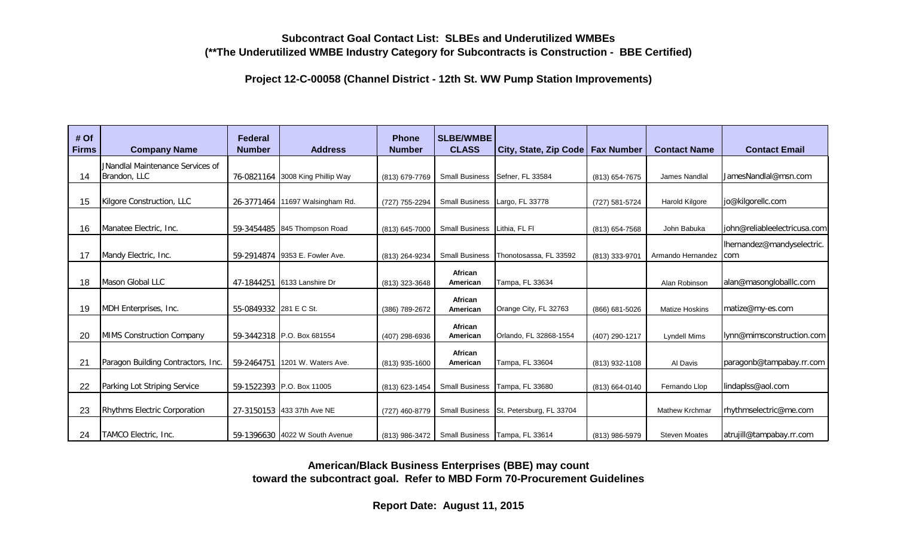### **Subcontract Goal Contact List: SLBEs and Underutilized WMBEs (\*\*The Underutilized WMBE Industry Category for Subcontracts is Construction - BBE Certified)**

**Project 12-C-00058 (Channel District - 12th St. WW Pump Station Improvements)**

| # Of<br><b>Firms</b> | <b>Company Name</b>                     | <b>Federal</b><br><b>Number</b> | <b>Address</b>                 | <b>Phone</b><br><b>Number</b> | <b>SLBE/WMBE</b><br><b>CLASS</b> | City, State, Zip Code   Fax Number      |                | <b>Contact Name</b>   | <b>Contact Email</b>               |
|----------------------|-----------------------------------------|---------------------------------|--------------------------------|-------------------------------|----------------------------------|-----------------------------------------|----------------|-----------------------|------------------------------------|
|                      | <b>JNandlal Maintenance Services of</b> |                                 |                                |                               |                                  |                                         |                |                       |                                    |
| 14                   | Brandon, LLC                            | 76-0821164                      | 3008 King Phillip Way          | (813) 679-7769                |                                  | Small Business Sefner, FL 33584         | (813) 654-7675 | James Nandlal         | JamesNandlal@msn.com               |
| 15                   | Kilgore Construction, LLC               | 26-3771464                      | 11697 Walsingham Rd.           | (727) 755-2294                |                                  | Small Business   Largo, FL 33778        | (727) 581-5724 | Harold Kilgore        | jo@kilgorellc.com                  |
| 16                   | Manatee Electric, Inc.                  | 59-3454485                      | 845 Thompson Road              | (813) 645-7000                | <b>Small Business</b>            | Lithia. FL Fl                           | (813) 654-7568 | John Babuka           | john@reliableelectricusa.com       |
| 17                   | Mandy Electric, Inc.                    | 59-2914874                      | 9353 E. Fowler Ave.            | (813) 264-9234                | <b>Small Business</b>            | Thonotosassa, FL 33592                  | (813) 333-9701 | Armando Hernandez     | Ihernandez@mandyselectric.<br>lcom |
| 18                   | Mason Global LLC                        | 47-1844251                      | 6133 Lanshire Dr               | (813) 323-3648                | African<br>American              | Tampa, FL 33634                         |                | Alan Robinson         | alan@masongloballlc.com            |
| 19                   | MDH Enterprises, Inc.                   | 55-0849332 281 E C St.          |                                | (386) 789-2672                | African<br>American              | Orange City, FL 32763                   | (866) 681-5026 | <b>Matize Hoskins</b> | matize@my-es.com                   |
| 20                   | MIMS Construction Company               |                                 | 59-3442318 P.O. Box 681554     | (407) 298-6936                | African<br>American              | Orlando, FL 32868-1554                  | (407) 290-1217 | <b>Lyndell Mims</b>   | lynn@mimsconstruction.com          |
| 2 <sup>1</sup>       | Paragon Building Contractors, Inc.      | 59-2464751                      | 1201 W. Waters Ave.            | (813) 935-1600                | African<br>American              | Tampa, FL 33604                         | (813) 932-1108 | Al Davis              | paragonb@tampabay.rr.com           |
| 22                   | Parking Lot Striping Service            |                                 | 59-1522393 P.O. Box 11005      | (813) 623-1454                | <b>Small Business</b>            | Tampa, FL 33680                         | (813) 664-0140 | Fernando Llop         | lindaplss@aol.com                  |
| 23                   | <b>Rhythms Electric Corporation</b>     |                                 | 27-3150153 433 37th Ave NE     | (727) 460-8779                |                                  | Small Business St. Petersburg, FL 33704 |                | <b>Mathew Krchmar</b> | rhythmselectric@me.com             |
| 24                   | TAMCO Electric, Inc.                    |                                 | 59-1396630 4022 W South Avenue | (813) 986-3472                |                                  | Small Business   Tampa, FL 33614        | (813) 986-5979 | <b>Steven Moates</b>  | atrujill@tampabay.rr.com           |

**American/Black Business Enterprises (BBE) may count toward the subcontract goal. Refer to MBD Form 70-Procurement Guidelines**

**Report Date: August 11, 2015**